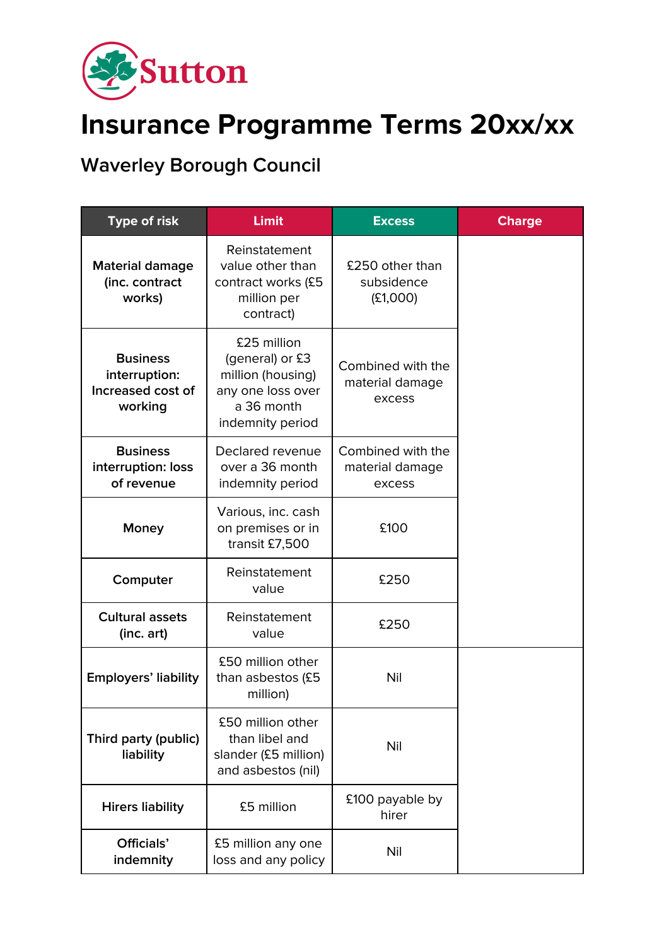

## **Insurance Programme Terms 20xx/xx**

**Waverley Borough Council**

| <b>Type of risk</b>                                              | <b>Limit</b>                                                                                               | <b>Excess</b>                                  | <b>Charge</b> |
|------------------------------------------------------------------|------------------------------------------------------------------------------------------------------------|------------------------------------------------|---------------|
| <b>Material damage</b><br>(inc. contract<br>works)               | Reinstatement<br>value other than<br>contract works (£5<br>million per<br>contract)                        | £250 other than<br>subsidence<br>(E1,000)      |               |
| <b>Business</b><br>interruption:<br>Increased cost of<br>working | £25 million<br>(general) or £3<br>million (housing)<br>any one loss over<br>a 36 month<br>indemnity period | Combined with the<br>material damage<br>excess |               |
| <b>Business</b><br>interruption: loss<br>of revenue              | Declared revenue<br>over a 36 month<br>indemnity period                                                    | Combined with the<br>material damage<br>excess |               |
| Money                                                            | Various, inc. cash<br>on premises or in<br>transit £7,500                                                  | £100                                           |               |
| Computer                                                         | Reinstatement<br>value                                                                                     | £250                                           |               |
| <b>Cultural assets</b><br>(inc. art)                             | Reinstatement<br>value                                                                                     | £250                                           |               |
| <b>Employers' liability</b>                                      | £50 million other<br>than asbestos (£5<br>million)                                                         | Nil                                            |               |
| Third party (public)<br>liability                                | £50 million other<br>than libel and<br>slander (£5 million)<br>and asbestos (nil)                          | Nil                                            |               |
| <b>Hirers liability</b>                                          | £5 million                                                                                                 | £100 payable by<br>hirer                       |               |
| Officials'<br>indemnity                                          | £5 million any one<br>loss and any policy                                                                  | Nil                                            |               |